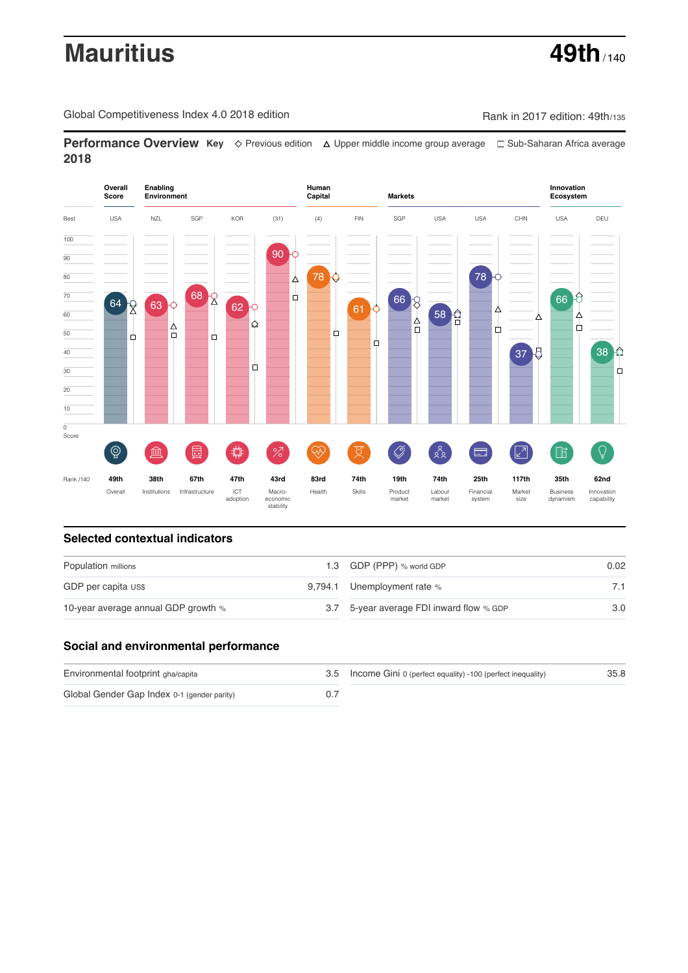# **Mauritius 49th** / 140

Global Competitiveness Index 4.0 2018 edition Company Rank in 2017 edition: 49th/135

**Performance Overview Key** Previous edition Upper middle income group average Sub-Saharan Africa average **2018**



# **Selected contextual indicators**

| Population millions                 |  | 1.3 GDP (PPP) % world GDP                | 0.02 |
|-------------------------------------|--|------------------------------------------|------|
| GDP per capita US\$                 |  | 9,794.1 Unemployment rate %              |      |
| 10-year average annual GDP growth % |  | 3.7 5-year average FDI inward flow % GDP | 3.0  |

# **Social and environmental performance**

| Environmental footprint gha/capita          | 3.5 Income Gini 0 (perfect equality) -100 (perfect inequality) | 35.8 |  |
|---------------------------------------------|----------------------------------------------------------------|------|--|
| Global Gender Gap Index 0-1 (gender parity) |                                                                |      |  |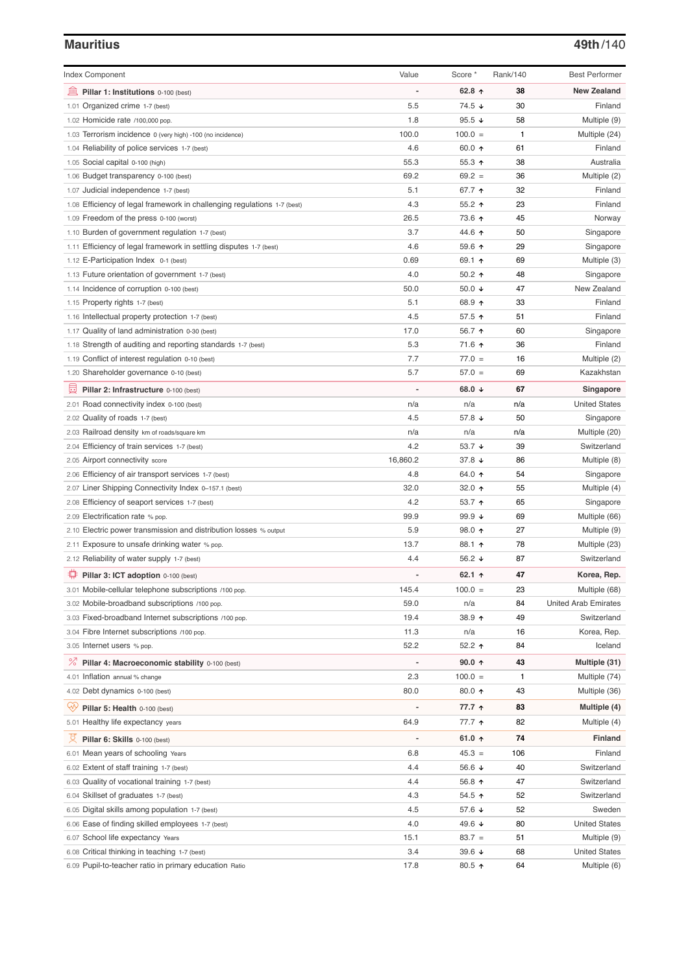### **Mauritius 49th**/140

| <b>Index Component</b>                                                         | Value                    | Score *          | Rank/140 | <b>Best Performer</b>       |
|--------------------------------------------------------------------------------|--------------------------|------------------|----------|-----------------------------|
| Pillar 1: Institutions 0-100 (best)                                            |                          | 62.8 $\uparrow$  | 38       | <b>New Zealand</b>          |
| 1.01 Organized crime 1-7 (best)                                                | 5.5                      | 74.5 ↓           | 30       | Finland                     |
| 1.02 Homicide rate /100,000 pop.                                               | 1.8                      | 95.5 $\sqrt{ }$  | 58       | Multiple (9)                |
| 1.03 Terrorism incidence 0 (very high) -100 (no incidence)                     | 100.0                    | $100.0 =$        | 1        | Multiple (24)               |
| 1.04 Reliability of police services 1-7 (best)                                 | 4.6                      | 60.0 $\uparrow$  | 61       | Finland                     |
| 1.05 Social capital 0-100 (high)                                               | 55.3                     | 55.3 $\uparrow$  | 38       | Australia                   |
| 1.06 Budget transparency 0-100 (best)                                          | 69.2                     | $69.2 =$         | 36       | Multiple (2)                |
| 1.07 Judicial independence 1-7 (best)                                          | 5.1                      | 67.7 ↑           | 32       | Finland                     |
| 1.08 Efficiency of legal framework in challenging regulations 1-7 (best)       | 4.3                      | $55.2$ ↑         | 23       | Finland                     |
| 1.09 Freedom of the press 0-100 (worst)                                        | 26.5                     | 73.6 个           | 45       | Norway                      |
| 1.10 Burden of government regulation 1-7 (best)                                | 3.7                      | 44.6 ↑           | 50       | Singapore                   |
| 1.11 Efficiency of legal framework in settling disputes 1-7 (best)             | 4.6                      | 59.6 个           | 29       | Singapore                   |
| 1.12 E-Participation Index 0-1 (best)                                          | 0.69                     | 69.1 ↑           | 69       | Multiple (3)                |
| 1.13 Future orientation of government 1-7 (best)                               | 4.0                      | 50.2 $\uparrow$  | 48       | Singapore                   |
| 1.14 Incidence of corruption 0-100 (best)                                      | 50.0                     | 50.0 $\sqrt{ }$  | 47       | New Zealand                 |
| 1.15 Property rights 1-7 (best)                                                | 5.1                      | 68.9 ↑           | 33       | Finland                     |
| 1.16 Intellectual property protection 1-7 (best)                               | 4.5                      | 57.5 ↑           | 51       | Finland                     |
| 1.17 Quality of land administration 0-30 (best)                                | 17.0                     | 56.7 ↑           | 60       | Singapore                   |
| 1.18 Strength of auditing and reporting standards 1-7 (best)                   | 5.3                      | 71.6 ↑           | 36       | Finland                     |
| 1.19 Conflict of interest regulation 0-10 (best)                               | 7.7                      | $77.0 =$         | 16       | Multiple (2)                |
| 1.20 Shareholder governance 0-10 (best)                                        | 5.7                      | $57.0 =$         | 69       | Kazakhstan                  |
| Pillar 2: Infrastructure 0-100 (best)                                          |                          | 68.0 $\sqrt{ }$  | 67       | Singapore                   |
| 2.01 Road connectivity index 0-100 (best)                                      | n/a                      | n/a              | n/a      | <b>United States</b>        |
| 2.02 Quality of roads 1-7 (best)                                               | 4.5                      | 57.8 ↓           | 50       | Singapore                   |
| 2.03 Railroad density km of roads/square km                                    | n/a                      | n/a              | n/a      | Multiple (20)               |
| 2.04 Efficiency of train services 1-7 (best)                                   | 4.2                      | 53.7 $\sqrt{ }$  | 39       | Switzerland                 |
| 2.05 Airport connectivity score                                                | 16,860.2                 | 37.8 ↓           | 86       | Multiple (8)                |
| 2.06 Efficiency of air transport services 1-7 (best)                           | 4.8                      | 64.0 ↑           | 54       | Singapore                   |
| 2.07 Liner Shipping Connectivity Index 0-157.1 (best)                          | 32.0                     | 32.0 $\uparrow$  | 55       | Multiple (4)                |
| 2.08 Efficiency of seaport services 1-7 (best)                                 | 4.2                      | 53.7 ↑           | 65       | Singapore                   |
| 2.09 Electrification rate % pop.                                               | 99.9                     | 99.9 $\sqrt{ }$  | 69       | Multiple (66)               |
| 2.10 Electric power transmission and distribution losses % output              | 5.9                      | 98.0 个           | 27       | Multiple (9)                |
| 2.11 Exposure to unsafe drinking water % pop.                                  | 13.7                     | 88.1 ↑           | 78       | Multiple (23)               |
| 2.12 Reliability of water supply 1-7 (best)                                    | 4.4                      | 56.2 $\sqrt{ }$  | 87       | Switzerland                 |
| Pillar 3: ICT adoption 0-100 (best)                                            |                          | 62.1 $\uparrow$  | 47       | Korea, Rep.                 |
| 3.01 Mobile-cellular telephone subscriptions /100 pop.                         | 145.4                    | $100.0 =$        | 23       | Multiple (68)               |
| 3.02 Mobile-broadband subscriptions /100 pop.                                  | 59.0                     | n/a              | 84       | <b>United Arab Emirates</b> |
| 3.03 Fixed-broadband Internet subscriptions /100 pop.                          | 19.4                     | 38.9 个           | 49       | Switzerland                 |
| 3.04 Fibre Internet subscriptions /100 pop.                                    | 11.3                     | n/a              | 16       | Korea, Rep.                 |
| 3.05 Internet users % pop.                                                     | 52.2                     | 52.2 ተ           | 84       | Iceland                     |
| ℅<br>Pillar 4: Macroeconomic stability 0-100 (best)                            | $\overline{\phantom{0}}$ | $90.0 \text{ A}$ | 43       | Multiple (31)               |
| 4.01 Inflation annual % change                                                 | 2.3                      | $100.0 =$        | 1        | Multiple (74)               |
| 4.02 Debt dynamics 0-100 (best)                                                | 80.0                     | 80.0 个           | 43       | Multiple (36)               |
| ₩<br>Pillar 5: Health 0-100 (best)                                             |                          | 77.7 ↑           | 83       | Multiple (4)                |
| 5.01 Healthy life expectancy years                                             | 64.9                     | 77.7 ተ           | 82       | Multiple (4)                |
| 文<br>Pillar 6: Skills 0-100 (best)                                             | $\overline{a}$           | 61.0 $\uparrow$  | 74       | <b>Finland</b>              |
|                                                                                | 6.8                      | $45.3 =$         | 106      | Finland                     |
| 6.01 Mean years of schooling Years<br>6.02 Extent of staff training 1-7 (best) | 4.4                      | 56.6 $\sqrt{ }$  | 40       | Switzerland                 |
| 6.03 Quality of vocational training 1-7 (best)                                 | 4.4                      | 56.8 $\uparrow$  | 47       | Switzerland                 |
| 6.04 Skillset of graduates 1-7 (best)                                          | 4.3                      | $54.5$ ↑         | 52       | Switzerland                 |
| 6.05 Digital skills among population 1-7 (best)                                | 4.5                      | 57.6 ↓           | 52       | Sweden                      |
| 6.06 Ease of finding skilled employees 1-7 (best)                              | 4.0                      | 49.6 ↓           | 80       | <b>United States</b>        |
| 6.07 School life expectancy Years                                              | 15.1                     | $83.7 =$         | 51       | Multiple (9)                |
| 6.08 Critical thinking in teaching 1-7 (best)                                  | 3.4                      | 39.6 $\sqrt{ }$  | 68       | <b>United States</b>        |
| 6.09 Pupil-to-teacher ratio in primary education Ratio                         | 17.8                     | 80.5 个           | 64       | Multiple (6)                |
|                                                                                |                          |                  |          |                             |